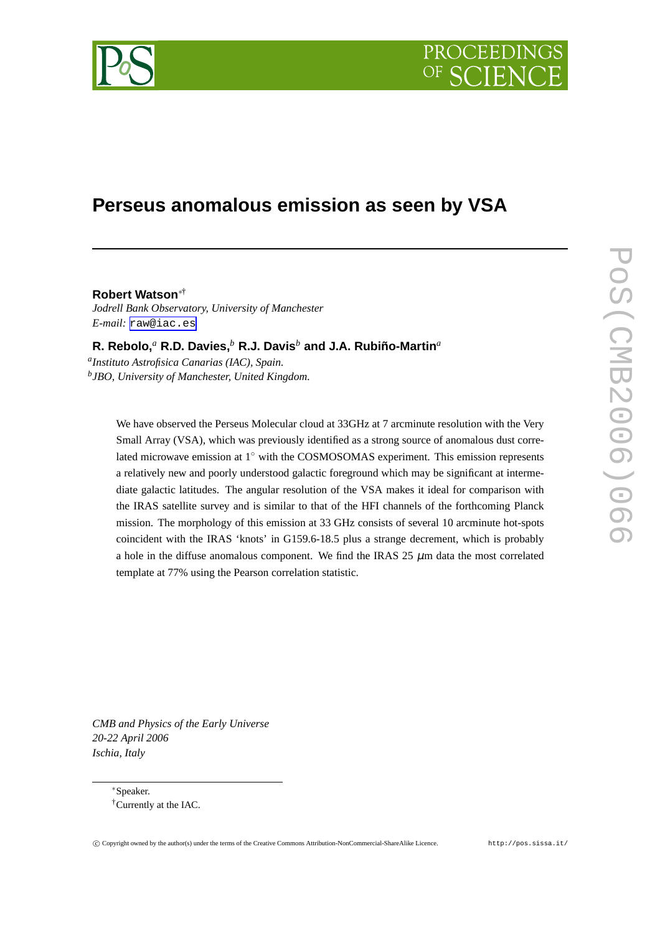

# PROCEEDIN

## **Perseus anomalous emission as seen by VSA**

**Robert Watson**∗† *Jodrell Bank Observatory, University of Manchester E-mail:* [raw@iac.es](mailto:raw@iac.es)

**R. Rebolo,***<sup>a</sup>* **R.D. Davies,***<sup>b</sup>* **R.J. Davis***<sup>b</sup>* **and J.A. Rubiño-Martin***<sup>a</sup> a Instituto Astrofisica Canarias (IAC), Spain. b JBO, University of Manchester, United Kingdom.*

We have observed the Perseus Molecular cloud at 33GHz at 7 arcminute resolution with the Very Small Array (VSA), which was previously identified as a strong source of anomalous dust correlated microwave emission at 1◦ with the COSMOSOMAS experiment. This emission represents a relatively new and poorly understood galactic foreground which may be significant at intermediate galactic latitudes. The angular resolution of the VSA makes it ideal for comparison with the IRAS satellite survey and is similar to that of the HFI channels of the forthcoming Planck mission. The morphology of this emission at 33 GHz consists of several 10 arcminute hot-spots coincident with the IRAS 'knots' in G159.6-18.5 plus a strange decrement, which is probably a hole in the diffuse anomalous component. We find the IRAS  $25 \mu m$  data the most correlated template at 77% using the Pearson correlation statistic.

*CMB and Physics of the Early Universe 20-22 April 2006 Ischia, Italy*

> <sup>∗</sup>Speaker. †Currently at the IAC.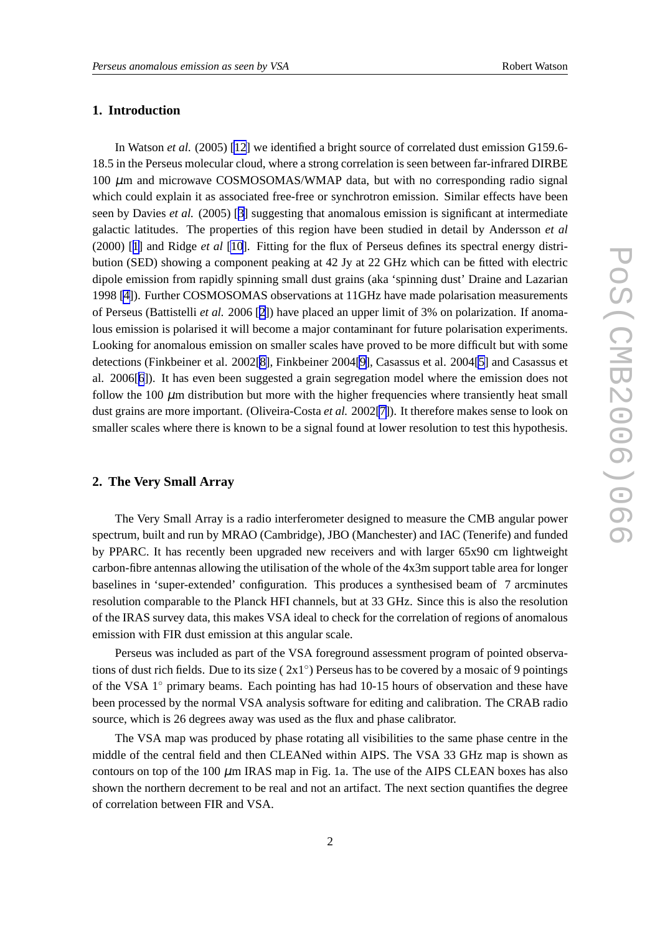### **1. Introduction**

In Watson *et al.* (2005) [\[12](#page-3-0)] we identified a bright source of correlated dust emission G159.6- 18.5 in the Perseus molecular cloud, where a strong correlation is seen between far-infrared DIRBE  $100 \mu$ m and microwave COSMOSOMAS/WMAP data, but with no corresponding radio signal which could explain it as associated free-free or synchrotron emission. Similar effects have been seen by Davies *et al.* (2005) [[3](#page-3-0)] suggesting that anomalous emission is significant at intermediate galactic latitudes. The properties of this region have been studied in detail by Andersson *et al* (2000) [[1](#page-2-0)] and Ridge *et al* [\[10](#page-3-0)]. Fitting for the flux of Perseus defines its spectral energy distribution (SED) showing a component peaking at 42 Jy at 22 GHz which can be fitted with electric dipole emission from rapidly spinning small dust grains (aka 'spinning dust' Draine and Lazarian 1998 [\[4\]](#page-3-0)). Further COSMOSOMAS observations at 11GHz have made polarisation measurements of Perseus (Battistelli *et al.* 2006 [[2](#page-3-0)]) have placed an upper limit of 3% on polarization. If anomalous emission is polarised it will become a major contaminant for future polarisation experiments. Looking for anomalous emission on smaller scales have proved to be more difficult but with some detections (Finkbeiner et al. 2002[\[8\]](#page-3-0), Finkbeiner 2004[\[9\]](#page-3-0), Casassus et al. 2004[\[5\]](#page-3-0) and Casassus et al. 2006[[6](#page-3-0)]). It has even been suggested a grain segregation model where the emission does not follow the  $100 \mu m$  distribution but more with the higher frequencies where transiently heat small dust grains are more important. (Oliveira-Costa *et al.* 2002[\[7\]](#page-3-0)). It therefore makes sense to look on smaller scales where there is known to be a signal found at lower resolution to test this hypothesis.

#### **2. The Very Small Array**

The Very Small Array is a radio interferometer designed to measure the CMB angular power spectrum, built and run by MRAO (Cambridge), JBO (Manchester) and IAC (Tenerife) and funded by PPARC. It has recently been upgraded new receivers and with larger 65x90 cm lightweight carbon-fibre antennas allowing the utilisation of the whole of the 4x3m support table area for longer baselines in 'super-extended' configuration. This produces a synthesised beam of 7 arcminutes resolution comparable to the Planck HFI channels, but at 33 GHz. Since this is also the resolution of the IRAS survey data, this makes VSA ideal to check for the correlation of regions of anomalous emission with FIR dust emission at this angular scale.

Perseus was included as part of the VSA foreground assessment program of pointed observations of dust rich fields. Due to its size  $(2x1°)$  Perseus has to be covered by a mosaic of 9 pointings of the VSA 1◦ primary beams. Each pointing has had 10-15 hours of observation and these have been processed by the normal VSA analysis software for editing and calibration. The CRAB radio source, which is 26 degrees away was used as the flux and phase calibrator.

The VSA map was produced by phase rotating all visibilities to the same phase centre in the middle of the central field and then CLEANed within AIPS. The VSA 33 GHz map is shown as contours on top of the 100  $\mu$ m IRAS map in Fig. 1a. The use of the AIPS CLEAN boxes has also shown the northern decrement to be real and not an artifact. The next section quantifies the degree of correlation between FIR and VSA.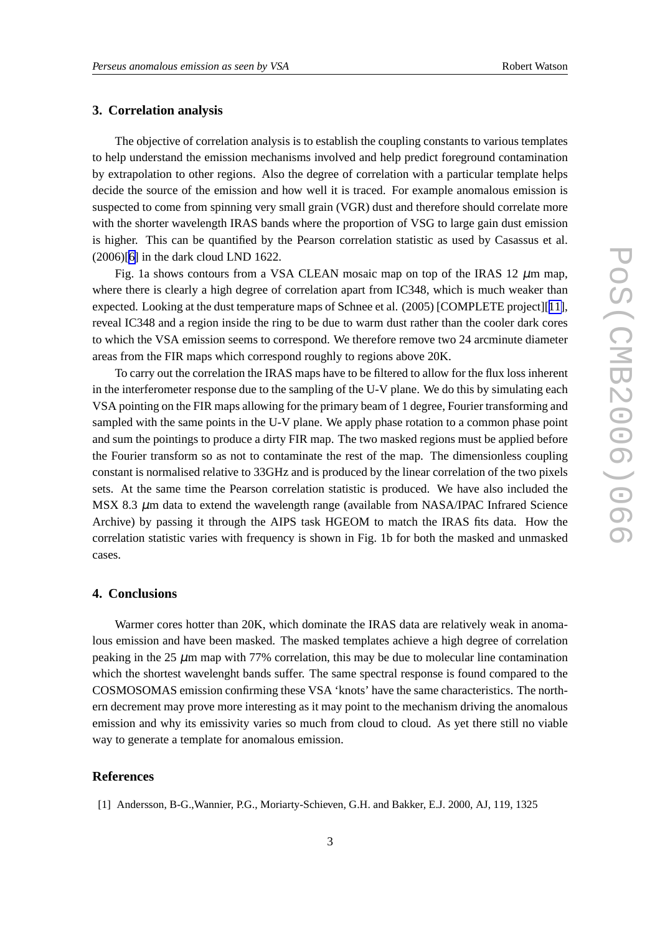#### <span id="page-2-0"></span>**3. Correlation analysis**

The objective of correlation analysis is to establish the coupling constants to various templates to help understand the emission mechanisms involved and help predict foreground contamination by extrapolation to other regions. Also the degree of correlation with a particular template helps decide the source of the emission and how well it is traced. For example anomalous emission is suspected to come from spinning very small grain (VGR) dust and therefore should correlate more with the shorter wavelength IRAS bands where the proportion of VSG to large gain dust emission is higher. This can be quantified by the Pearson correlation statistic as used by Casassus et al. (2006)[\[6\]](#page-3-0) in the dark cloud LND 1622.

Fig. 1a shows contours from a VSA CLEAN mosaic map on top of the IRAS 12  $\mu$ m map, where there is clearly a high degree of correlation apart from IC348, which is much weaker than expected. Looking at the dust temperature maps of Schnee et al. (2005) [COMPLETE project][[11\]](#page-3-0), reveal IC348 and a region inside the ring to be due to warm dust rather than the cooler dark cores to which the VSA emission seems to correspond. We therefore remove two 24 arcminute diameter areas from the FIR maps which correspond roughly to regions above 20K.

To carry out the correlation the IRAS maps have to be filtered to allow for the flux loss inherent in the interferometer response due to the sampling of the U-V plane. We do this by simulating each VSA pointing on the FIR maps allowing for the primary beam of 1 degree, Fourier transforming and sampled with the same points in the U-V plane. We apply phase rotation to a common phase point and sum the pointings to produce a dirty FIR map. The two masked regions must be applied before the Fourier transform so as not to contaminate the rest of the map. The dimensionless coupling constant is normalised relative to 33GHz and is produced by the linear correlation of the two pixels sets. At the same time the Pearson correlation statistic is produced. We have also included the MSX 8.3  $\mu$ m data to extend the wavelength range (available from NASA/IPAC Infrared Science Archive) by passing it through the AIPS task HGEOM to match the IRAS fits data. How the correlation statistic varies with frequency is shown in Fig. 1b for both the masked and unmasked cases.

#### **4. Conclusions**

Warmer cores hotter than 20K, which dominate the IRAS data are relatively weak in anomalous emission and have been masked. The masked templates achieve a high degree of correlation peaking in the 25  $\mu$ m map with 77% correlation, this may be due to molecular line contamination which the shortest wavelenght bands suffer. The same spectral response is found compared to the COSMOSOMAS emission confirming these VSA 'knots' have the same characteristics. The northern decrement may prove more interesting as it may point to the mechanism driving the anomalous emission and why its emissivity varies so much from cloud to cloud. As yet there still no viable way to generate a template for anomalous emission.

#### **References**

<sup>[1]</sup> Andersson, B-G.,Wannier, P.G., Moriarty-Schieven, G.H. and Bakker, E.J. 2000, AJ, 119, 1325